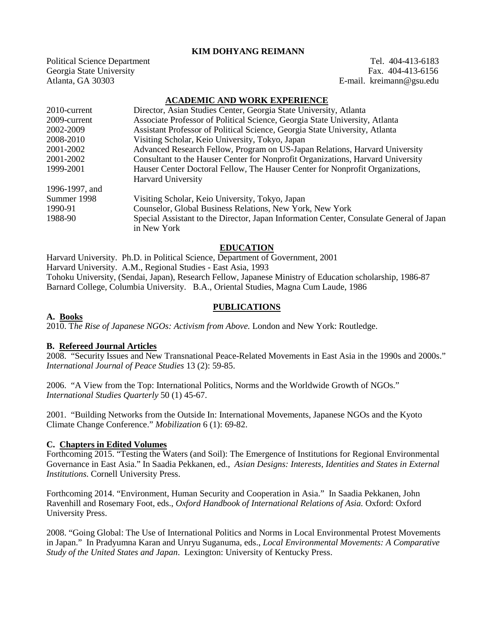## **KIM DOHYANG REIMANN**

Political Science Department Tel. 404-413-6183<br>
Georgia State University Tel. 404-413-6156 Georgia State University<br>Atlanta, GA 30303

E-mail. kreimann@gsu.edu

#### **ACADEMIC AND WORK EXPERIENCE**

| 2010-current   | Director, Asian Studies Center, Georgia State University, Atlanta                       |
|----------------|-----------------------------------------------------------------------------------------|
| 2009-current   | Associate Professor of Political Science, Georgia State University, Atlanta             |
| 2002-2009      | Assistant Professor of Political Science, Georgia State University, Atlanta             |
| 2008-2010      | Visiting Scholar, Keio University, Tokyo, Japan                                         |
| 2001-2002      | Advanced Research Fellow, Program on US-Japan Relations, Harvard University             |
| 2001-2002      | Consultant to the Hauser Center for Nonprofit Organizations, Harvard University         |
| 1999-2001      | Hauser Center Doctoral Fellow, The Hauser Center for Nonprofit Organizations,           |
|                | <b>Harvard University</b>                                                               |
| 1996-1997, and |                                                                                         |
| Summer 1998    | Visiting Scholar, Keio University, Tokyo, Japan                                         |
| 1990-91        | Counselor, Global Business Relations, New York, New York                                |
| 1988-90        | Special Assistant to the Director, Japan Information Center, Consulate General of Japan |
|                | in New York                                                                             |

#### **EDUCATION**

Harvard University. Ph.D. in Political Science, Department of Government, 2001 Harvard University. A.M., Regional Studies - East Asia, 1993 Tohoku University, (Sendai, Japan), Research Fellow, Japanese Ministry of Education scholarship, 1986-87 Barnard College, Columbia University. B.A., Oriental Studies, Magna Cum Laude, 1986

#### **PUBLICATIONS**

#### **A. Books**

2010. T*he Rise of Japanese NGOs: Activism from Above.* London and New York: Routledge.

#### **B. Refereed Journal Articles**

2008. "Security Issues and New Transnational Peace-Related Movements in East Asia in the 1990s and 2000s." *International Journal of Peace Studies* 13 (2): 59-85.

2006. "A View from the Top: International Politics, Norms and the Worldwide Growth of NGOs." *International Studies Quarterly* 50 (1) 45-67.

2001. "Building Networks from the Outside In: International Movements, Japanese NGOs and the Kyoto Climate Change Conference." *Mobilization* 6 (1): 69-82.

#### **C. Chapters in Edited Volumes**

Forthcoming 2015. "Testing the Waters (and Soil): The Emergence of Institutions for Regional Environmental Governance in East Asia." In Saadia Pekkanen, ed., *Asian Designs: Interests, Identities and States in External Institutions*. Cornell University Press.

Forthcoming 2014. "Environment, Human Security and Cooperation in Asia." In Saadia Pekkanen, John Ravenhill and Rosemary Foot, eds., *Oxford Handbook of International Relations of Asia.* Oxford: Oxford University Press.

2008. "Going Global: The Use of International Politics and Norms in Local Environmental Protest Movements in Japan." In Pradyumna Karan and Unryu Suganuma, eds., *Local Environmental Movements: A Comparative Study of the United States and Japan*. Lexington: University of Kentucky Press.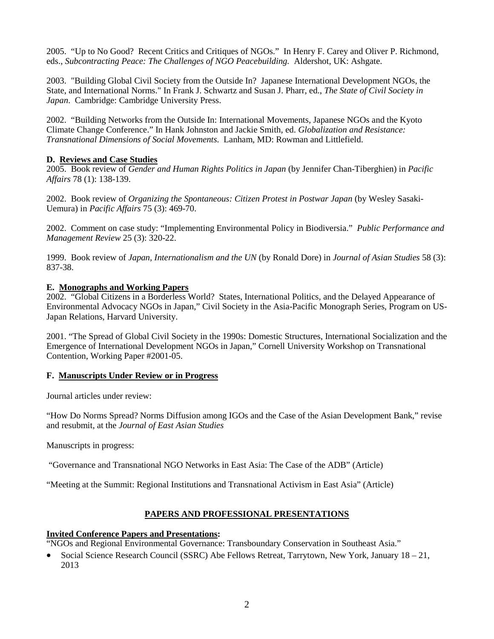2005. "Up to No Good? Recent Critics and Critiques of NGOs." In Henry F. Carey and Oliver P. Richmond, eds., *Subcontracting Peace: The Challenges of NGO Peacebuilding.* Aldershot, UK: Ashgate.

2003. "Building Global Civil Society from the Outside In? Japanese International Development NGOs, the State, and International Norms." In Frank J. Schwartz and Susan J. Pharr, ed., *The State of Civil Society in Japan*. Cambridge: Cambridge University Press.

2002. "Building Networks from the Outside In: International Movements, Japanese NGOs and the Kyoto Climate Change Conference." In Hank Johnston and Jackie Smith, ed. *Globalization and Resistance: Transnational Dimensions of Social Movements.* Lanham, MD: Rowman and Littlefield.

## **D. Reviews and Case Studies**

2005. Book review of *Gender and Human Rights Politics in Japan* (by Jennifer Chan-Tiberghien) in *Pacific Affairs* 78 (1): 138-139.

2002. Book review of *Organizing the Spontaneous: Citizen Protest in Postwar Japan* (by Wesley Sasaki-Uemura) in *Pacific Affairs* 75 (3): 469-70.

2002. Comment on case study: "Implementing Environmental Policy in Biodiversia." *Public Performance and Management Review* 25 (3): 320-22.

1999. Book review of *Japan, Internationalism and the UN* (by Ronald Dore) in *Journal of Asian Studies* 58 (3): 837-38.

## **E. Monographs and Working Papers**

2002. "Global Citizens in a Borderless World? States, International Politics, and the Delayed Appearance of Environmental Advocacy NGOs in Japan," Civil Society in the Asia-Pacific Monograph Series, Program on US-Japan Relations, Harvard University.

2001. "The Spread of Global Civil Society in the 1990s: Domestic Structures, International Socialization and the Emergence of International Development NGOs in Japan," Cornell University Workshop on Transnational Contention, Working Paper #2001-05.

## **F. Manuscripts Under Review or in Progress**

Journal articles under review:

"How Do Norms Spread? Norms Diffusion among IGOs and the Case of the Asian Development Bank," revise and resubmit, at the *Journal of East Asian Studies*

Manuscripts in progress:

"Governance and Transnational NGO Networks in East Asia: The Case of the ADB" (Article)

"Meeting at the Summit: Regional Institutions and Transnational Activism in East Asia" (Article)

# **PAPERS AND PROFESSIONAL PRESENTATIONS**

## **Invited Conference Papers and Presentations:**

"NGOs and Regional Environmental Governance: Transboundary Conservation in Southeast Asia."

• Social Science Research Council (SSRC) Abe Fellows Retreat, Tarrytown, New York, January 18 – 21, 2013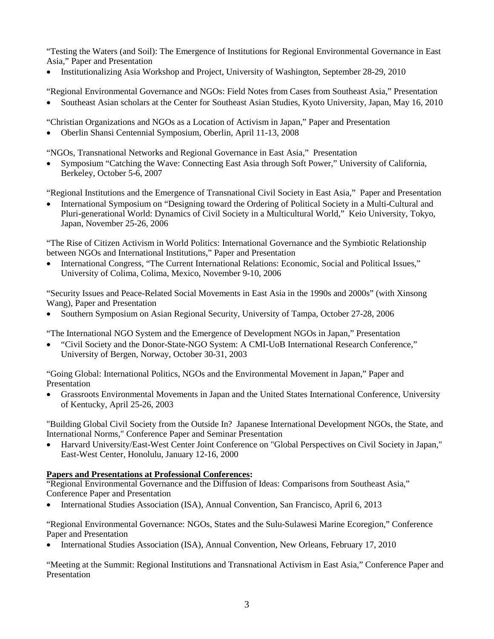"Testing the Waters (and Soil): The Emergence of Institutions for Regional Environmental Governance in East Asia," Paper and Presentation

• Institutionalizing Asia Workshop and Project, University of Washington, September 28-29, 2010

"Regional Environmental Governance and NGOs: Field Notes from Cases from Southeast Asia," Presentation

• Southeast Asian scholars at the Center for Southeast Asian Studies, Kyoto University, Japan, May 16, 2010

"Christian Organizations and NGOs as a Location of Activism in Japan," Paper and Presentation

• Oberlin Shansi Centennial Symposium, Oberlin, April 11-13, 2008

"NGOs, Transnational Networks and Regional Governance in East Asia," Presentation

• Symposium "Catching the Wave: Connecting East Asia through Soft Power," University of California, Berkeley, October 5-6, 2007

"Regional Institutions and the Emergence of Transnational Civil Society in East Asia," Paper and Presentation

• International Symposium on "Designing toward the Ordering of Political Society in a Multi-Cultural and Pluri-generational World: Dynamics of Civil Society in a Multicultural World," Keio University, Tokyo, Japan, November 25-26, 2006

"The Rise of Citizen Activism in World Politics: International Governance and the Symbiotic Relationship between NGOs and International Institutions," Paper and Presentation

• International Congress, "The Current International Relations: Economic, Social and Political Issues," University of Colima, Colima, Mexico, November 9-10, 2006

"Security Issues and Peace-Related Social Movements in East Asia in the 1990s and 2000s" (with Xinsong Wang), Paper and Presentation

• Southern Symposium on Asian Regional Security, University of Tampa, October 27-28, 2006

"The International NGO System and the Emergence of Development NGOs in Japan," Presentation

• "Civil Society and the Donor-State-NGO System: A CMI-UoB International Research Conference," University of Bergen, Norway, October 30-31, 2003

"Going Global: International Politics, NGOs and the Environmental Movement in Japan," Paper and Presentation

• Grassroots Environmental Movements in Japan and the United States International Conference, University of Kentucky, April 25-26, 2003

"Building Global Civil Society from the Outside In? Japanese International Development NGOs, the State, and International Norms," Conference Paper and Seminar Presentation

• Harvard University/East-West Center Joint Conference on "Global Perspectives on Civil Society in Japan," East-West Center, Honolulu, January 12-16, 2000

# **Papers and Presentations at Professional Conferences:**

"Regional Environmental Governance and the Diffusion of Ideas: Comparisons from Southeast Asia," Conference Paper and Presentation

• International Studies Association (ISA), Annual Convention, San Francisco, April 6, 2013

"Regional Environmental Governance: NGOs, States and the Sulu-Sulawesi Marine Ecoregion," Conference Paper and Presentation

• International Studies Association (ISA), Annual Convention, New Orleans, February 17, 2010

"Meeting at the Summit: Regional Institutions and Transnational Activism in East Asia," Conference Paper and **Presentation**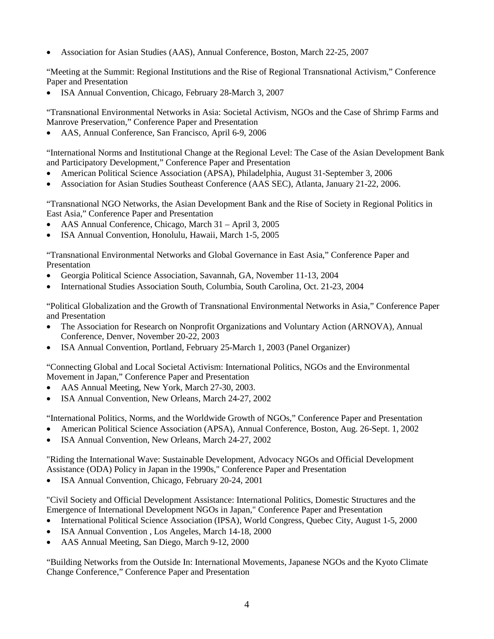• Association for Asian Studies (AAS), Annual Conference, Boston, March 22-25, 2007

"Meeting at the Summit: Regional Institutions and the Rise of Regional Transnational Activism," Conference Paper and Presentation

• ISA Annual Convention, Chicago, February 28-March 3, 2007

"Transnational Environmental Networks in Asia: Societal Activism, NGOs and the Case of Shrimp Farms and Manrove Preservation," Conference Paper and Presentation

• AAS, Annual Conference, San Francisco, April 6-9, 2006

"International Norms and Institutional Change at the Regional Level: The Case of the Asian Development Bank and Participatory Development," Conference Paper and Presentation

- American Political Science Association (APSA), Philadelphia, August 31-September 3, 2006
- Association for Asian Studies Southeast Conference (AAS SEC), Atlanta, January 21-22, 2006.

"Transnational NGO Networks, the Asian Development Bank and the Rise of Society in Regional Politics in East Asia," Conference Paper and Presentation

- AAS Annual Conference, Chicago, March 31 April 3, 2005
- ISA Annual Convention, Honolulu, Hawaii, March 1-5, 2005

"Transnational Environmental Networks and Global Governance in East Asia," Conference Paper and Presentation

- Georgia Political Science Association, Savannah, GA, November 11-13, 2004
- International Studies Association South, Columbia, South Carolina, Oct. 21-23, 2004

"Political Globalization and the Growth of Transnational Environmental Networks in Asia," Conference Paper and Presentation

- The Association for Research on Nonprofit Organizations and Voluntary Action (ARNOVA), Annual Conference, Denver, November 20-22, 2003
- ISA Annual Convention, Portland, February 25-March 1, 2003 (Panel Organizer)

"Connecting Global and Local Societal Activism: International Politics, NGOs and the Environmental Movement in Japan," Conference Paper and Presentation

- AAS Annual Meeting, New York, March 27-30, 2003.
- ISA Annual Convention, New Orleans, March 24-27, 2002

"International Politics, Norms, and the Worldwide Growth of NGOs," Conference Paper and Presentation

- American Political Science Association (APSA), Annual Conference, Boston, Aug. 26-Sept. 1, 2002
- ISA Annual Convention, New Orleans, March 24-27, 2002

"Riding the International Wave: Sustainable Development, Advocacy NGOs and Official Development Assistance (ODA) Policy in Japan in the 1990s," Conference Paper and Presentation

• ISA Annual Convention, Chicago, February 20-24, 2001

"Civil Society and Official Development Assistance: International Politics, Domestic Structures and the Emergence of International Development NGOs in Japan," Conference Paper and Presentation

- International Political Science Association (IPSA), World Congress, Quebec City, August 1-5, 2000
- ISA Annual Convention , Los Angeles, March 14-18, 2000
- AAS Annual Meeting, San Diego, March 9-12, 2000

"Building Networks from the Outside In: International Movements, Japanese NGOs and the Kyoto Climate Change Conference," Conference Paper and Presentation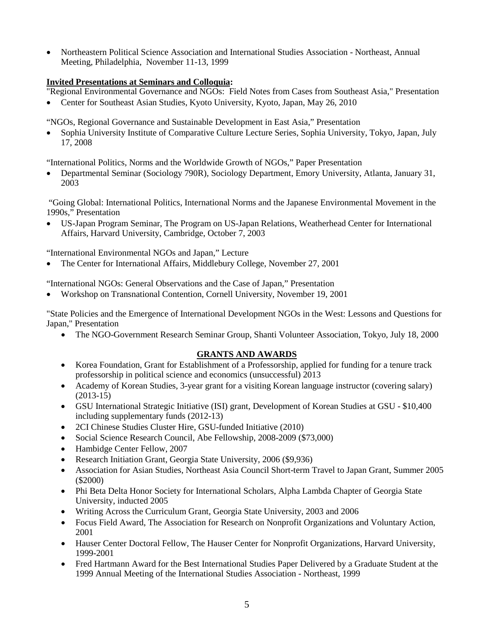• Northeastern Political Science Association and International Studies Association - Northeast, Annual Meeting, Philadelphia, November 11-13, 1999

# **Invited Presentations at Seminars and Colloquia:**

"Regional Environmental Governance and NGOs: Field Notes from Cases from Southeast Asia," Presentation

• Center for Southeast Asian Studies, Kyoto University, Kyoto, Japan, May 26, 2010

"NGOs, Regional Governance and Sustainable Development in East Asia," Presentation

• Sophia University Institute of Comparative Culture Lecture Series, Sophia University, Tokyo, Japan, July 17, 2008

"International Politics, Norms and the Worldwide Growth of NGOs," Paper Presentation

• Departmental Seminar (Sociology 790R), Sociology Department, Emory University, Atlanta, January 31, 2003

"Going Global: International Politics, International Norms and the Japanese Environmental Movement in the 1990s," Presentation

• US-Japan Program Seminar, The Program on US-Japan Relations, Weatherhead Center for International Affairs, Harvard University, Cambridge, October 7, 2003

"International Environmental NGOs and Japan," Lecture

• The Center for International Affairs, Middlebury College, November 27, 2001

"International NGOs: General Observations and the Case of Japan," Presentation

• Workshop on Transnational Contention, Cornell University, November 19, 2001

"State Policies and the Emergence of International Development NGOs in the West: Lessons and Questions for Japan," Presentation

• The NGO-Government Research Seminar Group, Shanti Volunteer Association, Tokyo, July 18, 2000

# **GRANTS AND AWARDS**

- Korea Foundation, Grant for Establishment of a Professorship, applied for funding for a tenure track professorship in political science and economics (unsuccessful) 2013
- Academy of Korean Studies, 3-year grant for a visiting Korean language instructor (covering salary)  $(2013-15)$
- GSU International Strategic Initiative (ISI) grant, Development of Korean Studies at GSU \$10,400 including supplementary funds (2012-13)
- 2CI Chinese Studies Cluster Hire, GSU-funded Initiative (2010)
- Social Science Research Council, Abe Fellowship, 2008-2009 (\$73,000)
- Hambidge Center Fellow, 2007
- Research Initiation Grant, Georgia State University, 2006 (\$9,936)
- Association for Asian Studies, Northeast Asia Council Short-term Travel to Japan Grant, Summer 2005 (\$2000)
- Phi Beta Delta Honor Society for International Scholars, Alpha Lambda Chapter of Georgia State University, inducted 2005
- Writing Across the Curriculum Grant, Georgia State University, 2003 and 2006
- Focus Field Award, The Association for Research on Nonprofit Organizations and Voluntary Action, 2001
- Hauser Center Doctoral Fellow, The Hauser Center for Nonprofit Organizations, Harvard University, 1999-2001
- Fred Hartmann Award for the Best International Studies Paper Delivered by a Graduate Student at the 1999 Annual Meeting of the International Studies Association - Northeast, 1999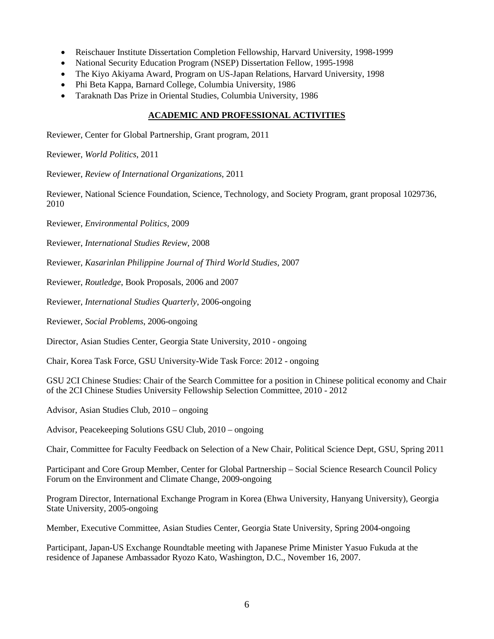- Reischauer Institute Dissertation Completion Fellowship, Harvard University, 1998-1999
- National Security Education Program (NSEP) Dissertation Fellow, 1995-1998
- The Kiyo Akiyama Award, Program on US-Japan Relations, Harvard University, 1998
- Phi Beta Kappa, Barnard College, Columbia University, 1986
- Taraknath Das Prize in Oriental Studies, Columbia University, 1986

# **ACADEMIC AND PROFESSIONAL ACTIVITIES**

Reviewer, Center for Global Partnership, Grant program, 2011

Reviewer, *World Politics*, 2011

Reviewer, *Review of International Organizations*, 2011

Reviewer, National Science Foundation, Science, Technology, and Society Program, grant proposal 1029736, 2010

Reviewer, *Environmental Politics*, 2009

Reviewer, *International Studies Review*, 2008

Reviewer, *Kasarinlan Philippine Journal of Third World Studies*, 2007

Reviewer, *Routledge*, Book Proposals, 2006 and 2007

Reviewer, *International Studies Quarterly*, 2006-ongoing

Reviewer, *Social Problems*, 2006-ongoing

Director, Asian Studies Center, Georgia State University, 2010 - ongoing

Chair, Korea Task Force, GSU University-Wide Task Force: 2012 - ongoing

GSU 2CI Chinese Studies: Chair of the Search Committee for a position in Chinese political economy and Chair of the 2CI Chinese Studies University Fellowship Selection Committee, 2010 - 2012

Advisor, Asian Studies Club, 2010 – ongoing

Advisor, Peacekeeping Solutions GSU Club, 2010 – ongoing

Chair, Committee for Faculty Feedback on Selection of a New Chair, Political Science Dept, GSU, Spring 2011

Participant and Core Group Member, Center for Global Partnership – Social Science Research Council Policy Forum on the Environment and Climate Change, 2009-ongoing

Program Director, International Exchange Program in Korea (Ehwa University, Hanyang University), Georgia State University, 2005-ongoing

Member, Executive Committee, Asian Studies Center, Georgia State University, Spring 2004-ongoing

Participant, Japan-US Exchange Roundtable meeting with Japanese Prime Minister Yasuo Fukuda at the residence of Japanese Ambassador Ryozo Kato, Washington, D.C., November 16, 2007.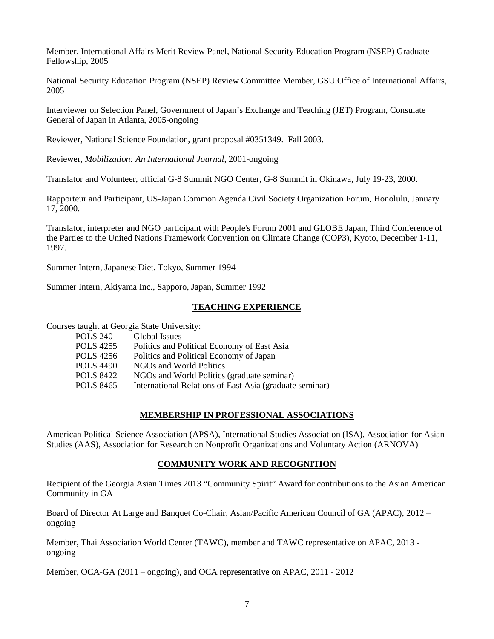Member, International Affairs Merit Review Panel, National Security Education Program (NSEP) Graduate Fellowship, 2005

National Security Education Program (NSEP) Review Committee Member, GSU Office of International Affairs, 2005

Interviewer on Selection Panel, Government of Japan's Exchange and Teaching (JET) Program, Consulate General of Japan in Atlanta, 2005-ongoing

Reviewer, National Science Foundation, grant proposal #0351349. Fall 2003.

Reviewer, *Mobilization: An International Journal*, 2001-ongoing

Translator and Volunteer, official G-8 Summit NGO Center, G-8 Summit in Okinawa, July 19-23, 2000.

Rapporteur and Participant, US-Japan Common Agenda Civil Society Organization Forum, Honolulu, January 17, 2000.

Translator, interpreter and NGO participant with People's Forum 2001 and GLOBE Japan, Third Conference of the Parties to the United Nations Framework Convention on Climate Change (COP3), Kyoto, December 1-11, 1997.

Summer Intern, Japanese Diet, Tokyo, Summer 1994

Summer Intern, Akiyama Inc., Sapporo, Japan, Summer 1992

## **TEACHING EXPERIENCE**

Courses taught at Georgia State University:

| <b>POLS 2401</b> | Global Issues                                           |
|------------------|---------------------------------------------------------|
| POLS 4255        | Politics and Political Economy of East Asia             |
| POLS 4256        | Politics and Political Economy of Japan                 |
| POLS 4490        | NGOs and World Politics                                 |
| POLS 8422        | NGOs and World Politics (graduate seminar)              |
| POLS 8465        | International Relations of East Asia (graduate seminar) |
|                  |                                                         |

## **MEMBERSHIP IN PROFESSIONAL ASSOCIATIONS**

American Political Science Association (APSA), International Studies Association (ISA), Association for Asian Studies (AAS), Association for Research on Nonprofit Organizations and Voluntary Action (ARNOVA)

## **COMMUNITY WORK AND RECOGNITION**

Recipient of the Georgia Asian Times 2013 "Community Spirit" Award for contributions to the Asian American Community in GA

Board of Director At Large and Banquet Co-Chair, Asian/Pacific American Council of GA (APAC), 2012 – ongoing

Member, Thai Association World Center (TAWC), member and TAWC representative on APAC, 2013 ongoing

Member, OCA-GA (2011 – ongoing), and OCA representative on APAC, 2011 - 2012